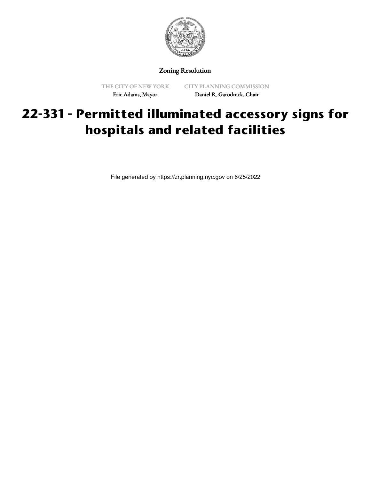

Zoning Resolution

THE CITY OF NEW YORK Eric Adams, Mayor

CITY PLANNING COMMISSION Daniel R. Garodnick, Chair

## **22-331 - Permitted illuminated accessory signs for hospitals and related facilities**

File generated by https://zr.planning.nyc.gov on 6/25/2022